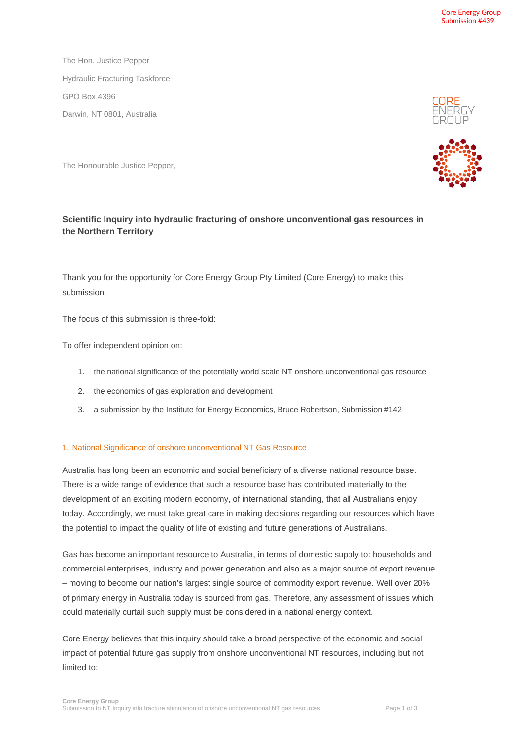The Hon. Justice Pepper Hydraulic Fracturing Taskforce GPO Box 4396 Darwin, NT 0801, Australia

The Honourable Justice Pepper,

## **Scientific Inquiry into hydraulic fracturing of onshore unconventional gas resources in the Northern Territory**

Thank you for the opportunity for Core Energy Group Pty Limited (Core Energy) to make this submission.

The focus of this submission is three-fold:

To offer independent opinion on:

- 1. the national significance of the potentially world scale NT onshore unconventional gas resource
- 2. the economics of gas exploration and development
- 3. a submission by the Institute for Energy Economics, Bruce Robertson, Submission #142

## 1. National Significance of onshore unconventional NT Gas Resource

Australia has long been an economic and social beneficiary of a diverse national resource base. There is a wide range of evidence that such a resource base has contributed materially to the development of an exciting modern economy, of international standing, that all Australians enjoy today. Accordingly, we must take great care in making decisions regarding our resources which have the potential to impact the quality of life of existing and future generations of Australians.

Gas has become an important resource to Australia, in terms of domestic supply to: households and commercial enterprises, industry and power generation and also as a major source of export revenue – moving to become our nation's largest single source of commodity export revenue. Well over 20% of primary energy in Australia today is sourced from gas. Therefore, any assessment of issues which could materially curtail such supply must be considered in a national energy context.

Core Energy believes that this inquiry should take a broad perspective of the economic and social impact of potential future gas supply from onshore unconventional NT resources, including but not limited to:



NERG'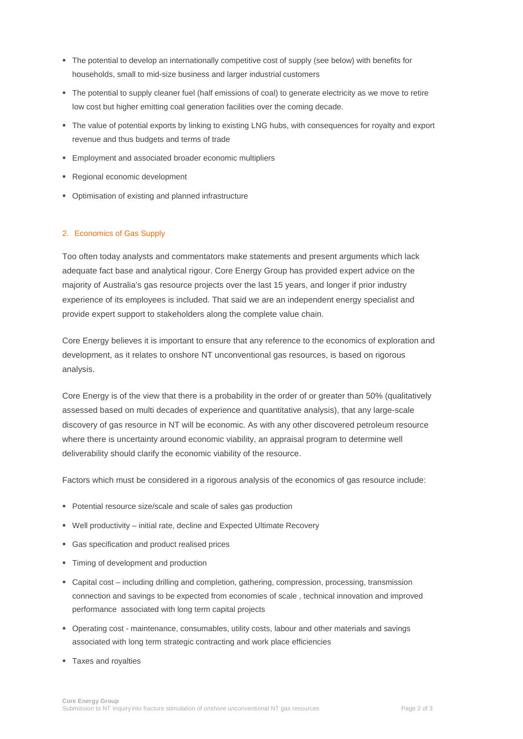- The potential to develop an internationally competitive cost of supply (see below) with benefits for households, small to mid-size business and larger industrial customers
- The potential to supply cleaner fuel (half emissions of coal) to generate electricity as we move to retire low cost but higher emitting coal generation facilities over the coming decade.
- The value of potential exports by linking to existing LNG hubs, with consequences for royalty and export revenue and thus budgets and terms of trade
- **Employment and associated broader economic multipliers**
- **Regional economic development**
- Optimisation of existing and planned infrastructure

## 2. Economics of Gas Supply

Too often today analysts and commentators make statements and present arguments which lack adequate fact base and analytical rigour. Core Energy Group has provided expert advice on the majority of Australia's gas resource projects over the last 15 years, and longer if prior industry experience of its employees is included. That said we are an independent energy specialist and provide expert support to stakeholders along the complete value chain.

Core Energy believes it is important to ensure that any reference to the economics of exploration and development, as it relates to onshore NT unconventional gas resources, is based on rigorous analysis.

Core Energy is of the view that there is a probability in the order of or greater than 50% (qualitatively assessed based on multi decades of experience and quantitative analysis), that any large-scale discovery of gas resource in NT will be economic. As with any other discovered petroleum resource where there is uncertainty around economic viability, an appraisal program to determine well deliverability should clarify the economic viability of the resource.

Factors which must be considered in a rigorous analysis of the economics of gas resource include:

- Potential resource size/scale and scale of sales gas production
- Well productivity initial rate, decline and Expected Ultimate Recovery
- Gas specification and product realised prices
- Timing of development and production
- Capital cost including drilling and completion, gathering, compression, processing, transmission connection and savings to be expected from economies of scale , technical innovation and improved performance associated with long term capital projects
- Operating cost maintenance, consumables, utility costs, labour and other materials and savings associated with long term strategic contracting and work place efficiencies
- **Taxes and royalties**